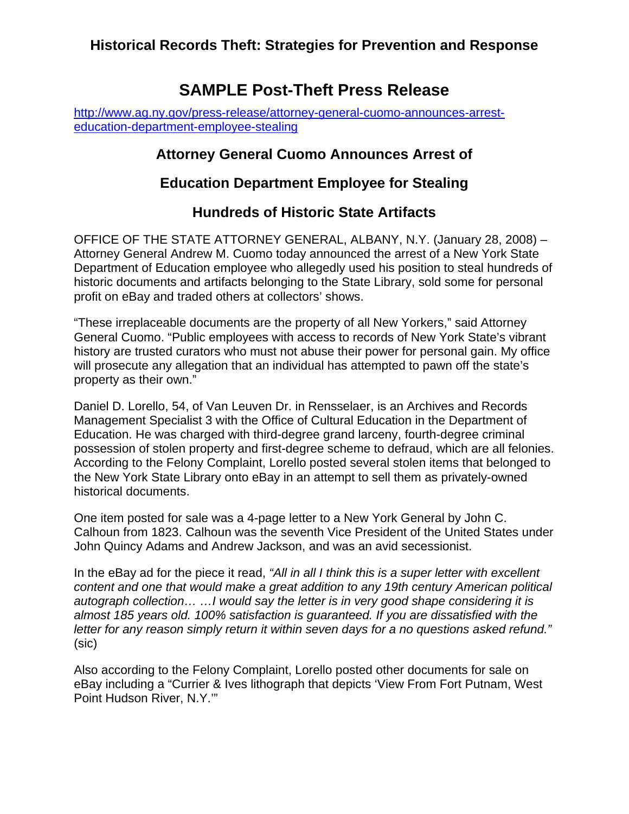## **SAMPLE Post-Theft Press Release**

[http://www.ag.ny.gov/press-release/attorney-general-cuomo-announces-arrest](http://www.ag.ny.gov/press-release/attorney-general-cuomo-announces-arrest-education-department-employee-stealing)[education-department-employee-stealing](http://www.ag.ny.gov/press-release/attorney-general-cuomo-announces-arrest-education-department-employee-stealing)

## **Attorney General Cuomo Announces Arrest of**

## **Education Department Employee for Stealing**

## **Hundreds of Historic State Artifacts**

OFFICE OF THE STATE ATTORNEY GENERAL, ALBANY, N.Y. (January 28, 2008) – Attorney General Andrew M. Cuomo today announced the arrest of a New York State Department of Education employee who allegedly used his position to steal hundreds of historic documents and artifacts belonging to the State Library, sold some for personal profit on eBay and traded others at collectors' shows.

"These irreplaceable documents are the property of all New Yorkers," said Attorney General Cuomo. "Public employees with access to records of New York State's vibrant history are trusted curators who must not abuse their power for personal gain. My office will prosecute any allegation that an individual has attempted to pawn off the state's property as their own."

Daniel D. Lorello, 54, of Van Leuven Dr. in Rensselaer, is an Archives and Records Management Specialist 3 with the Office of Cultural Education in the Department of Education. He was charged with third-degree grand larceny, fourth-degree criminal possession of stolen property and first-degree scheme to defraud, which are all felonies. According to the Felony Complaint, Lorello posted several stolen items that belonged to the New York State Library onto eBay in an attempt to sell them as privately-owned historical documents.

One item posted for sale was a 4-page letter to a New York General by John C. Calhoun from 1823. Calhoun was the seventh Vice President of the United States under John Quincy Adams and Andrew Jackson, and was an avid secessionist.

In the eBay ad for the piece it read, *"All in all I think this is a super letter with excellent content and one that would make a great addition to any 19th century American political autograph collection… …I would say the letter is in very good shape considering it is almost 185 years old. 100% satisfaction is guaranteed. If you are dissatisfied with the letter for any reason simply return it within seven days for a no questions asked refund."* (sic)

Also according to the Felony Complaint, Lorello posted other documents for sale on eBay including a "Currier & Ives lithograph that depicts 'View From Fort Putnam, West Point Hudson River, N.Y.'"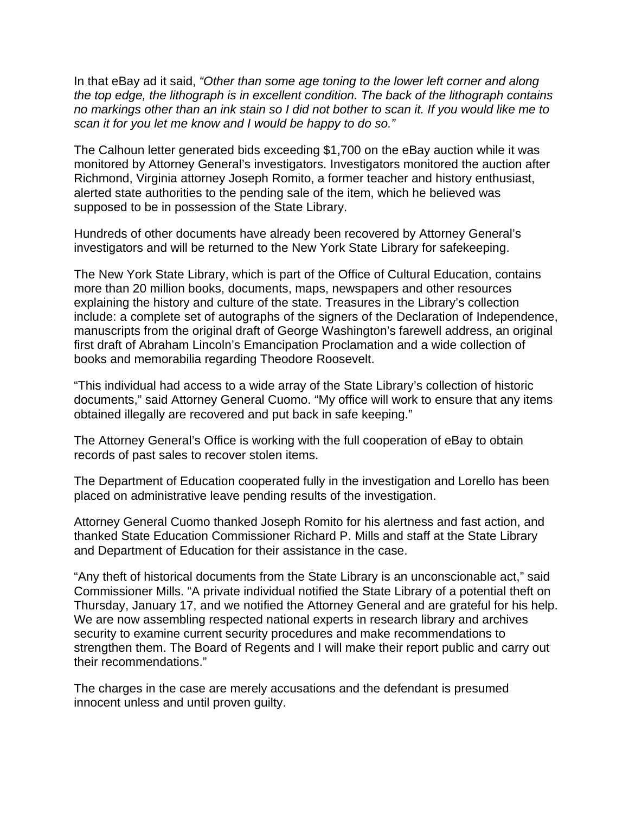In that eBay ad it said, *"Other than some age toning to the lower left corner and along the top edge, the lithograph is in excellent condition. The back of the lithograph contains no markings other than an ink stain so I did not bother to scan it. If you would like me to scan it for you let me know and I would be happy to do so."*

The Calhoun letter generated bids exceeding \$1,700 on the eBay auction while it was monitored by Attorney General's investigators. Investigators monitored the auction after Richmond, Virginia attorney Joseph Romito, a former teacher and history enthusiast, alerted state authorities to the pending sale of the item, which he believed was supposed to be in possession of the State Library.

Hundreds of other documents have already been recovered by Attorney General's investigators and will be returned to the New York State Library for safekeeping.

The New York State Library, which is part of the Office of Cultural Education, contains more than 20 million books, documents, maps, newspapers and other resources explaining the history and culture of the state. Treasures in the Library's collection include: a complete set of autographs of the signers of the Declaration of Independence, manuscripts from the original draft of George Washington's farewell address, an original first draft of Abraham Lincoln's Emancipation Proclamation and a wide collection of books and memorabilia regarding Theodore Roosevelt.

"This individual had access to a wide array of the State Library's collection of historic documents," said Attorney General Cuomo. "My office will work to ensure that any items obtained illegally are recovered and put back in safe keeping."

The Attorney General's Office is working with the full cooperation of eBay to obtain records of past sales to recover stolen items.

The Department of Education cooperated fully in the investigation and Lorello has been placed on administrative leave pending results of the investigation.

Attorney General Cuomo thanked Joseph Romito for his alertness and fast action, and thanked State Education Commissioner Richard P. Mills and staff at the State Library and Department of Education for their assistance in the case.

"Any theft of historical documents from the State Library is an unconscionable act," said Commissioner Mills. "A private individual notified the State Library of a potential theft on Thursday, January 17, and we notified the Attorney General and are grateful for his help. We are now assembling respected national experts in research library and archives security to examine current security procedures and make recommendations to strengthen them. The Board of Regents and I will make their report public and carry out their recommendations."

The charges in the case are merely accusations and the defendant is presumed innocent unless and until proven guilty.